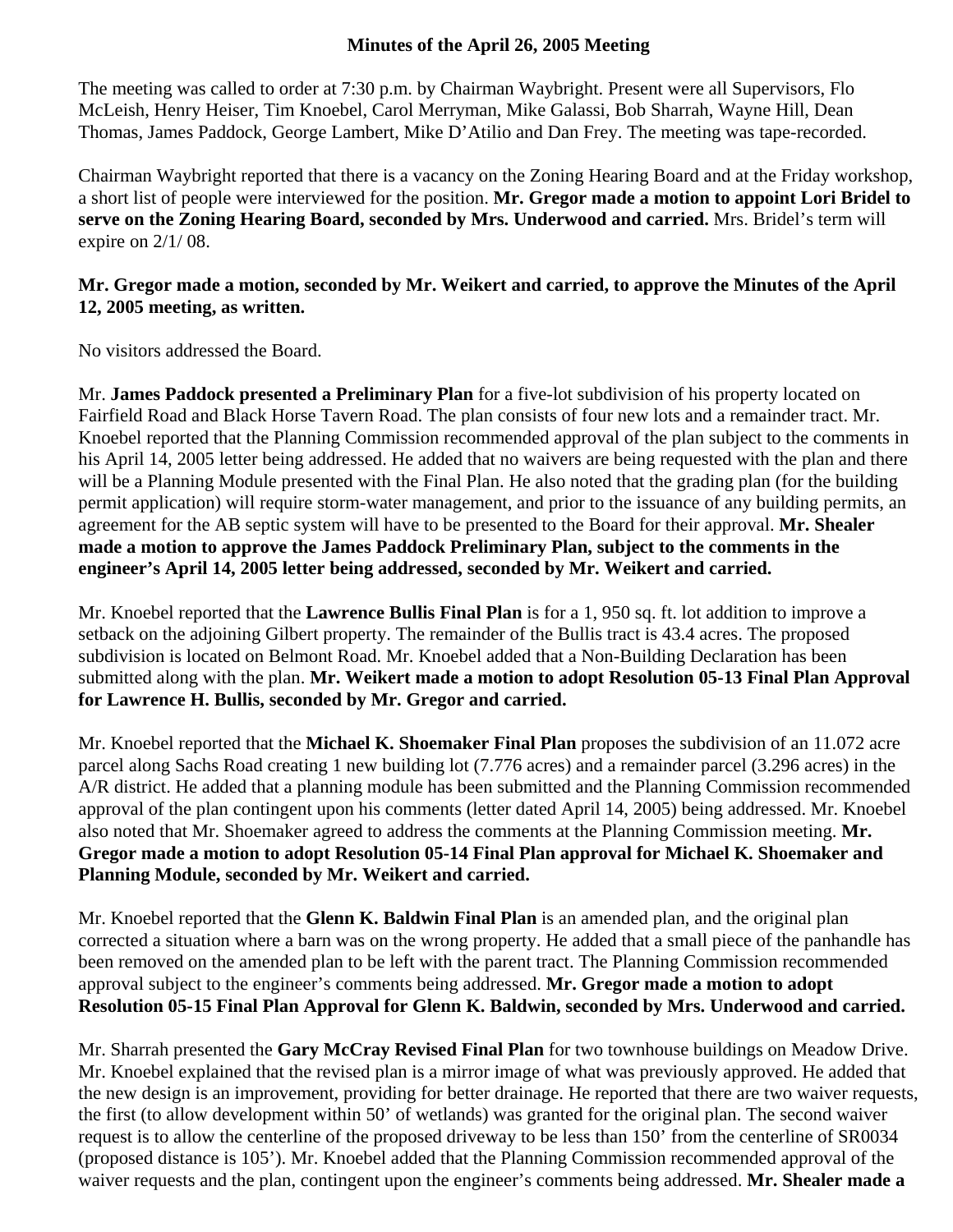## **Minutes of the April 26, 2005 Meeting**

The meeting was called to order at 7:30 p.m. by Chairman Waybright. Present were all Supervisors, Flo McLeish, Henry Heiser, Tim Knoebel, Carol Merryman, Mike Galassi, Bob Sharrah, Wayne Hill, Dean Thomas, James Paddock, George Lambert, Mike D'Atilio and Dan Frey. The meeting was tape-recorded.

Chairman Waybright reported that there is a vacancy on the Zoning Hearing Board and at the Friday workshop, a short list of people were interviewed for the position. **Mr. Gregor made a motion to appoint Lori Bridel to serve on the Zoning Hearing Board, seconded by Mrs. Underwood and carried.** Mrs. Bridel's term will expire on 2/1/ 08.

## **Mr. Gregor made a motion, seconded by Mr. Weikert and carried, to approve the Minutes of the April 12, 2005 meeting, as written.**

No visitors addressed the Board.

Mr. **James Paddock presented a Preliminary Plan** for a five-lot subdivision of his property located on Fairfield Road and Black Horse Tavern Road. The plan consists of four new lots and a remainder tract. Mr. Knoebel reported that the Planning Commission recommended approval of the plan subject to the comments in his April 14, 2005 letter being addressed. He added that no waivers are being requested with the plan and there will be a Planning Module presented with the Final Plan. He also noted that the grading plan (for the building permit application) will require storm-water management, and prior to the issuance of any building permits, an agreement for the AB septic system will have to be presented to the Board for their approval. **Mr. Shealer made a motion to approve the James Paddock Preliminary Plan, subject to the comments in the engineer's April 14, 2005 letter being addressed, seconded by Mr. Weikert and carried.** 

Mr. Knoebel reported that the **Lawrence Bullis Final Plan** is for a 1, 950 sq. ft. lot addition to improve a setback on the adjoining Gilbert property. The remainder of the Bullis tract is 43.4 acres. The proposed subdivision is located on Belmont Road. Mr. Knoebel added that a Non-Building Declaration has been submitted along with the plan. **Mr. Weikert made a motion to adopt Resolution 05-13 Final Plan Approval for Lawrence H. Bullis, seconded by Mr. Gregor and carried.** 

Mr. Knoebel reported that the **Michael K. Shoemaker Final Plan** proposes the subdivision of an 11.072 acre parcel along Sachs Road creating 1 new building lot (7.776 acres) and a remainder parcel (3.296 acres) in the A/R district. He added that a planning module has been submitted and the Planning Commission recommended approval of the plan contingent upon his comments (letter dated April 14, 2005) being addressed. Mr. Knoebel also noted that Mr. Shoemaker agreed to address the comments at the Planning Commission meeting. **Mr. Gregor made a motion to adopt Resolution 05-14 Final Plan approval for Michael K. Shoemaker and Planning Module, seconded by Mr. Weikert and carried.** 

Mr. Knoebel reported that the **Glenn K. Baldwin Final Plan** is an amended plan, and the original plan corrected a situation where a barn was on the wrong property. He added that a small piece of the panhandle has been removed on the amended plan to be left with the parent tract. The Planning Commission recommended approval subject to the engineer's comments being addressed. **Mr. Gregor made a motion to adopt Resolution 05-15 Final Plan Approval for Glenn K. Baldwin, seconded by Mrs. Underwood and carried.** 

Mr. Sharrah presented the **Gary McCray Revised Final Plan** for two townhouse buildings on Meadow Drive. Mr. Knoebel explained that the revised plan is a mirror image of what was previously approved. He added that the new design is an improvement, providing for better drainage. He reported that there are two waiver requests, the first (to allow development within 50' of wetlands) was granted for the original plan. The second waiver request is to allow the centerline of the proposed driveway to be less than 150' from the centerline of SR0034 (proposed distance is 105'). Mr. Knoebel added that the Planning Commission recommended approval of the waiver requests and the plan, contingent upon the engineer's comments being addressed. **Mr. Shealer made a**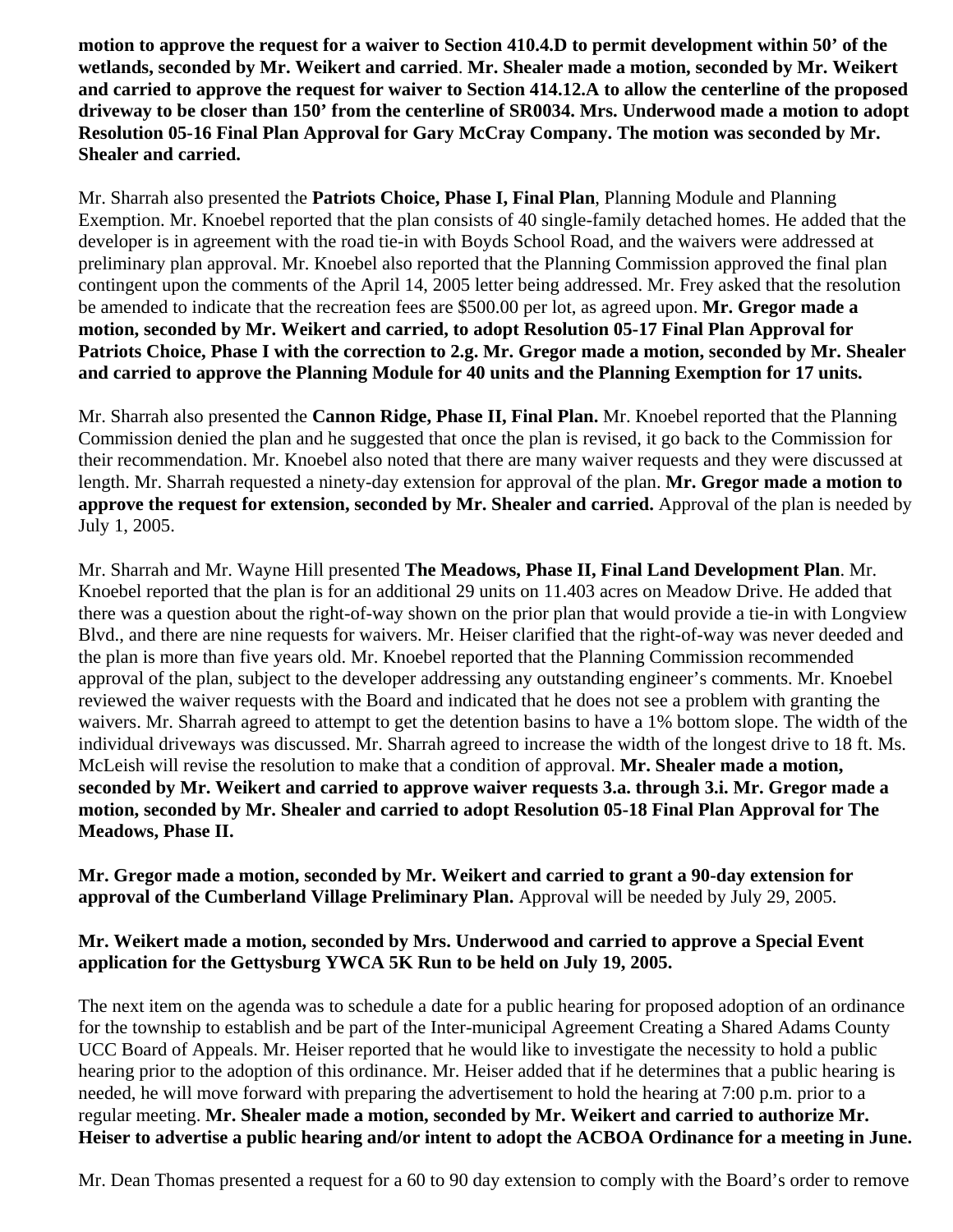**motion to approve the request for a waiver to Section 410.4.D to permit development within 50' of the wetlands, seconded by Mr. Weikert and carried**. **Mr. Shealer made a motion, seconded by Mr. Weikert and carried to approve the request for waiver to Section 414.12.A to allow the centerline of the proposed driveway to be closer than 150' from the centerline of SR0034. Mrs. Underwood made a motion to adopt Resolution 05-16 Final Plan Approval for Gary McCray Company. The motion was seconded by Mr. Shealer and carried.** 

Mr. Sharrah also presented the **Patriots Choice, Phase I, Final Plan**, Planning Module and Planning Exemption. Mr. Knoebel reported that the plan consists of 40 single-family detached homes. He added that the developer is in agreement with the road tie-in with Boyds School Road, and the waivers were addressed at preliminary plan approval. Mr. Knoebel also reported that the Planning Commission approved the final plan contingent upon the comments of the April 14, 2005 letter being addressed. Mr. Frey asked that the resolution be amended to indicate that the recreation fees are \$500.00 per lot, as agreed upon. **Mr. Gregor made a motion, seconded by Mr. Weikert and carried, to adopt Resolution 05-17 Final Plan Approval for Patriots Choice, Phase I with the correction to 2.g. Mr. Gregor made a motion, seconded by Mr. Shealer and carried to approve the Planning Module for 40 units and the Planning Exemption for 17 units.** 

Mr. Sharrah also presented the **Cannon Ridge, Phase II, Final Plan.** Mr. Knoebel reported that the Planning Commission denied the plan and he suggested that once the plan is revised, it go back to the Commission for their recommendation. Mr. Knoebel also noted that there are many waiver requests and they were discussed at length. Mr. Sharrah requested a ninety-day extension for approval of the plan. **Mr. Gregor made a motion to approve the request for extension, seconded by Mr. Shealer and carried.** Approval of the plan is needed by July 1, 2005.

Mr. Sharrah and Mr. Wayne Hill presented **The Meadows, Phase II, Final Land Development Plan**. Mr. Knoebel reported that the plan is for an additional 29 units on 11.403 acres on Meadow Drive. He added that there was a question about the right-of-way shown on the prior plan that would provide a tie-in with Longview Blvd., and there are nine requests for waivers. Mr. Heiser clarified that the right-of-way was never deeded and the plan is more than five years old. Mr. Knoebel reported that the Planning Commission recommended approval of the plan, subject to the developer addressing any outstanding engineer's comments. Mr. Knoebel reviewed the waiver requests with the Board and indicated that he does not see a problem with granting the waivers. Mr. Sharrah agreed to attempt to get the detention basins to have a 1% bottom slope. The width of the individual driveways was discussed. Mr. Sharrah agreed to increase the width of the longest drive to 18 ft. Ms. McLeish will revise the resolution to make that a condition of approval. **Mr. Shealer made a motion, seconded by Mr. Weikert and carried to approve waiver requests 3.a. through 3.i. Mr. Gregor made a motion, seconded by Mr. Shealer and carried to adopt Resolution 05-18 Final Plan Approval for The Meadows, Phase II.** 

**Mr. Gregor made a motion, seconded by Mr. Weikert and carried to grant a 90-day extension for approval of the Cumberland Village Preliminary Plan.** Approval will be needed by July 29, 2005.

## **Mr. Weikert made a motion, seconded by Mrs. Underwood and carried to approve a Special Event application for the Gettysburg YWCA 5K Run to be held on July 19, 2005.**

The next item on the agenda was to schedule a date for a public hearing for proposed adoption of an ordinance for the township to establish and be part of the Inter-municipal Agreement Creating a Shared Adams County UCC Board of Appeals. Mr. Heiser reported that he would like to investigate the necessity to hold a public hearing prior to the adoption of this ordinance. Mr. Heiser added that if he determines that a public hearing is needed, he will move forward with preparing the advertisement to hold the hearing at 7:00 p.m. prior to a regular meeting. **Mr. Shealer made a motion, seconded by Mr. Weikert and carried to authorize Mr. Heiser to advertise a public hearing and/or intent to adopt the ACBOA Ordinance for a meeting in June.** 

Mr. Dean Thomas presented a request for a 60 to 90 day extension to comply with the Board's order to remove